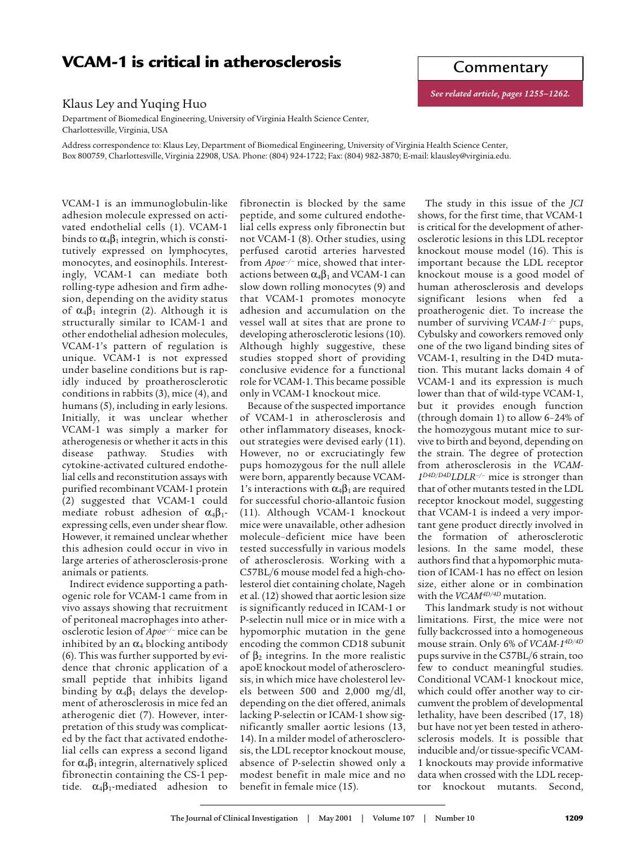## **VCAM-1 is critical in atherosclerosis**

## Klaus Ley and Yuqing Huo

Department of Biomedical Engineering, University of Virginia Health Science Center, Charlottesville, Virginia, USA

Address correspondence to: Klaus Ley, Department of Biomedical Engineering, University of Virginia Health Science Center, Box 800759, Charlottesville, Virginia 22908, USA. Phone: (804) 924-1722; Fax: (804) 982-3870; E-mail: klausley@virginia.edu.

VCAM-1 is an immunoglobulin-like adhesion molecule expressed on activated endothelial cells (1). VCAM-1 binds to  $\alpha_4\beta_1$  integrin, which is constitutively expressed on lymphocytes, monocytes, and eosinophils. Interestingly, VCAM-1 can mediate both rolling-type adhesion and firm adhesion, depending on the avidity status of  $\alpha_4\beta_1$  integrin (2). Although it is structurally similar to ICAM-1 and other endothelial adhesion molecules, VCAM-1's pattern of regulation is unique. VCAM-1 is not expressed under baseline conditions but is rapidly induced by proatherosclerotic conditions in rabbits (3), mice (4), and humans (5), including in early lesions. Initially, it was unclear whether VCAM-1 was simply a marker for atherogenesis or whether it acts in this disease pathway. Studies with cytokine-activated cultured endothelial cells and reconstitution assays with purified recombinant VCAM-1 protein (2) suggested that VCAM-1 could mediate robust adhesion of  $\alpha_4\beta_1$ expressing cells, even under shear flow. However, it remained unclear whether this adhesion could occur in vivo in large arteries of atherosclerosis-prone animals or patients.

Indirect evidence supporting a pathogenic role for VCAM-1 came from in vivo assays showing that recruitment of peritoneal macrophages into atherosclerotic lesion of *Apoe–/–* mice can be inhibited by an  $\alpha_4$  blocking antibody (6). This was further supported by evidence that chronic application of a small peptide that inhibits ligand binding by  $\alpha_4\beta_1$  delays the development of atherosclerosis in mice fed an atherogenic diet (7). However, interpretation of this study was complicated by the fact that activated endothelial cells can express a second ligand for  $\alpha_4\beta_1$  integrin, alternatively spliced fibronectin containing the CS-1 peptide.  $\alpha_4\beta_1$ -mediated adhesion to

fibronectin is blocked by the same peptide, and some cultured endothelial cells express only fibronectin but not VCAM-1 (8). Other studies, using perfused carotid arteries harvested from *Apoe–/–* mice, showed that interactions between  $\alpha_4\beta_1$  and VCAM-1 can slow down rolling monocytes (9) and that VCAM-1 promotes monocyte adhesion and accumulation on the vessel wall at sites that are prone to developing atherosclerotic lesions (10). Although highly suggestive, these studies stopped short of providing conclusive evidence for a functional role for VCAM-1. This became possible only in VCAM-1 knockout mice.

Because of the suspected importance of VCAM-1 in atherosclerosis and other inflammatory diseases, knockout strategies were devised early (11). However, no or excruciatingly few pups homozygous for the null allele were born, apparently because VCAM-1's interactions with  $\alpha_4\beta_1$  are required for successful chorio-allantoic fusion (11). Although VCAM-1 knockout mice were unavailable, other adhesion molecule–deficient mice have been tested successfully in various models of atherosclerosis. Working with a C57BL/6 mouse model fed a high-cholesterol diet containing cholate, Nageh et al. (12) showed that aortic lesion size is significantly reduced in ICAM-1 or P-selectin null mice or in mice with a hypomorphic mutation in the gene encoding the common CD18 subunit of  $β_2$  integrins. In the more realistic apoE knockout model of atherosclerosis, in which mice have cholesterol levels between 500 and 2,000 mg/dl, depending on the diet offered, animals lacking P-selectin or ICAM-1 show significantly smaller aortic lesions (13, 14). In a milder model of atherosclerosis, the LDL receptor knockout mouse, absence of P-selectin showed only a modest benefit in male mice and no benefit in female mice (15).

The study in this issue of the *JCI* shows, for the first time, that VCAM-1 is critical for the development of atherosclerotic lesions in this LDL receptor knockout mouse model (16). This is important because the LDL receptor knockout mouse is a good model of human atherosclerosis and develops significant lesions when fed a proatherogenic diet. To increase the number of surviving *VCAM-1–/–* pups, Cybulsky and coworkers removed only one of the two ligand binding sites of VCAM-1, resulting in the D4D mutation. This mutant lacks domain 4 of VCAM-1 and its expression is much lower than that of wild-type VCAM-1, but it provides enough function (through domain 1) to allow 6–24% of the homozygous mutant mice to survive to birth and beyond, depending on the strain. The degree of protection from atherosclerosis in the *VCAM-1D4D/D4DLDLR–/–* mice is stronger than that of other mutants tested in the LDL receptor knockout model, suggesting that VCAM-1 is indeed a very important gene product directly involved in the formation of atherosclerotic lesions. In the same model, these authors find that a hypomorphic mutation of ICAM-1 has no effect on lesion size, either alone or in combination with the *VCAM4D/4D* mutation.

This landmark study is not without limitations. First, the mice were not fully backcrossed into a homogeneous mouse strain. Only 6% of *VCAM-14D/4D* pups survive in the C57BL/6 strain, too few to conduct meaningful studies. Conditional VCAM-1 knockout mice, which could offer another way to circumvent the problem of developmental lethality, have been described (17, 18) but have not yet been tested in atherosclerosis models. It is possible that inducible and/or tissue-specific VCAM-1 knockouts may provide informative data when crossed with the LDL receptor knockout mutants. Second,

Commentary